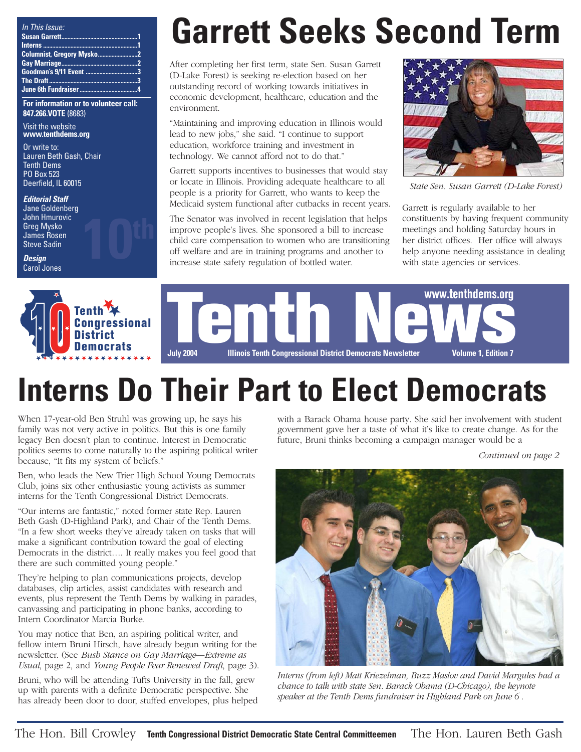| In This Issue: |  |
|----------------|--|
|                |  |
|                |  |
|                |  |
|                |  |
|                |  |
|                |  |
|                |  |

**For information or to volunteer call: 847.266.VOTE** (8683)

Visit the website **www.tenthdems.org** 

Or write to: Lauren Beth Gash, Chair Tenth Dems PO Box 523 Deerfield, IL 60015

**Editorial Staff** Jane Goldenberg John Hmurovic Greg Mysko James Rosen **Steve Sadin** 

**Design** Carol Jones



# **Garrett Seeks Second Term**

After completing her first term, state Sen. Susan Garrett (D-Lake Forest) is seeking re-election based on her outstanding record of working towards initiatives in economic development, healthcare, education and the environment.

"Maintaining and improving education in Illinois would lead to new jobs," she said. "I continue to support education, workforce training and investment in technology. We cannot afford not to do that."

Garrett supports incentives to businesses that would stay or locate in Illinois. Providing adequate healthcare to all people is a priority for Garrett, who wants to keep the Medicaid system functional after cutbacks in recent years.

The Senator was involved in recent legislation that helps improve people's lives. She sponsored a bill to increase child care compensation to women who are transitioning off welfare and are in training programs and another to increase state safety regulation of bottled water.



*State Sen. Susan Garrett (D-Lake Forest)*

Garrett is regularly available to her constituents by having frequent community meetings and holding Saturday hours in her district offices. Her office will always help anyone needing assistance in dealing with state agencies or services.



# **Interns Do Their Part to Elect Democrats**

When 17-year-old Ben Struhl was growing up, he says his family was not very active in politics. But this is one family legacy Ben doesn't plan to continue. Interest in Democratic politics seems to come naturally to the aspiring political writer because, "It fits my system of beliefs."

Ben, who leads the New Trier High School Young Democrats Club, joins six other enthusiastic young activists as summer interns for the Tenth Congressional District Democrats.

"Our interns are fantastic," noted former state Rep. Lauren Beth Gash (D-Highland Park), and Chair of the Tenth Dems. "In a few short weeks they've already taken on tasks that will make a significant contribution toward the goal of electing Democrats in the district…. It really makes you feel good that there are such committed young people."

They're helping to plan communications projects, develop databases, clip articles, assist candidates with research and events, plus represent the Tenth Dems by walking in parades, canvassing and participating in phone banks, according to Intern Coordinator Marcia Burke.

You may notice that Ben, an aspiring political writer, and fellow intern Bruni Hirsch, have already begun writing for the newsletter. (See *Bush Stance on Gay Marriage—Extreme as Usual*, page 2, and *Young People Fear Renewed Draft*, page 3).

Bruni, who will be attending Tufts University in the fall, grew up with parents with a definite Democratic perspective. She has already been door to door, stuffed envelopes, plus helped with a Barack Obama house party. She said her involvement with student government gave her a taste of what it's like to create change. As for the future, Bruni thinks becoming a campaign manager would be a

*Continued on page 2*



*Interns (from left) Matt Kriezelman, Buzz Maslov and David Margules had a chance to talk with state Sen. Barack Obama (D-Chicago), the keynote speaker at the Tenth Dems fundraiser in Highland Park on June 6 .*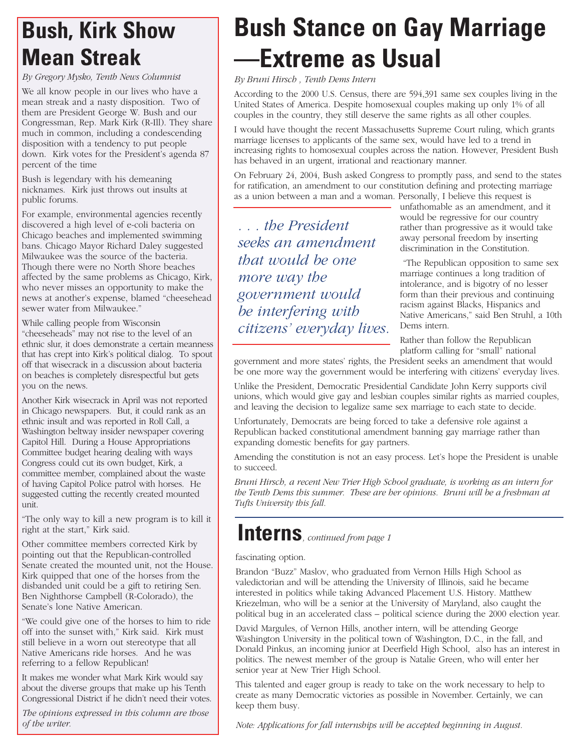### **Bush, Kirk Show Mean Streak**

*By Gregory Mysko, Tenth News Columnist*

We all know people in our lives who have a mean streak and a nasty disposition. Two of them are President George W. Bush and our Congressman, Rep. Mark Kirk (R-Ill). They share much in common, including a condescending disposition with a tendency to put people down. Kirk votes for the President's agenda 87 percent of the time

Bush is legendary with his demeaning nicknames. Kirk just throws out insults at public forums.

For example, environmental agencies recently discovered a high level of e-coli bacteria on Chicago beaches and implemented swimming bans. Chicago Mayor Richard Daley suggested Milwaukee was the source of the bacteria. Though there were no North Shore beaches affected by the same problems as Chicago, Kirk, who never misses an opportunity to make the news at another's expense, blamed "cheesehead sewer water from Milwaukee."

While calling people from Wisconsin "cheeseheads" may not rise to the level of an ethnic slur, it does demonstrate a certain meanness that has crept into Kirk's political dialog. To spout off that wisecrack in a discussion about bacteria on beaches is completely disrespectful but gets you on the news.

Another Kirk wisecrack in April was not reported in Chicago newspapers. But, it could rank as an ethnic insult and was reported in Roll Call, a Washington beltway insider newspaper covering Capitol Hill. During a House Appropriations Committee budget hearing dealing with ways Congress could cut its own budget, Kirk, a committee member, complained about the waste of having Capitol Police patrol with horses. He suggested cutting the recently created mounted unit.

"The only way to kill a new program is to kill it right at the start," Kirk said.

Other committee members corrected Kirk by pointing out that the Republican-controlled Senate created the mounted unit, not the House. Kirk quipped that one of the horses from the disbanded unit could be a gift to retiring Sen. Ben Nighthorse Campbell (R-Colorado), the Senate's lone Native American.

"We could give one of the horses to him to ride off into the sunset with," Kirk said. Kirk must still believe in a worn out stereotype that all Native Americans ride horses. And he was referring to a fellow Republican!

It makes me wonder what Mark Kirk would say about the diverse groups that make up his Tenth Congressional District if he didn't need their votes.

*The opinions expressed in this column are those of the writer.* 

## **Bush Stance on Gay Marriage —Extreme as Usual**

*By Bruni Hirsch , Tenth Dems Intern*

According to the 2000 U.S. Census, there are 594,391 same sex couples living in the United States of America. Despite homosexual couples making up only 1% of all couples in the country, they still deserve the same rights as all other couples.

I would have thought the recent Massachusetts Supreme Court ruling, which grants marriage licenses to applicants of the same sex, would have led to a trend in increasing rights to homosexual couples across the nation. However, President Bush has behaved in an urgent, irrational and reactionary manner.

On February 24, 2004, Bush asked Congress to promptly pass, and send to the states for ratification, an amendment to our constitution defining and protecting marriage as a union between a man and a woman. Personally, I believe this request is

*. . . the President seeks an amendment that would be one more way the government would be interfering with citizens' everyday lives.*  unfathomable as an amendment, and it would be regressive for our country rather than progressive as it would take away personal freedom by inserting discrimination in the Constitution.

"The Republican opposition to same sex marriage continues a long tradition of intolerance, and is bigotry of no lesser form than their previous and continuing racism against Blacks, Hispanics and Native Americans," said Ben Struhl, a 10th Dems intern.

Rather than follow the Republican platform calling for "small" national

government and more states' rights, the President seeks an amendment that would be one more way the government would be interfering with citizens' everyday lives.

Unlike the President, Democratic Presidential Candidate John Kerry supports civil unions, which would give gay and lesbian couples similar rights as married couples, and leaving the decision to legalize same sex marriage to each state to decide.

Unfortunately, Democrats are being forced to take a defensive role against a Republican backed constitutional amendment banning gay marriage rather than expanding domestic benefits for gay partners.

Amending the constitution is not an easy process. Let's hope the President is unable to succeed.

*Bruni Hirsch, a recent New Trier High School graduate, is working as an intern for the Tenth Dems this summer. These are her opinions. Bruni will be a freshman at Tufts University this fall.*

### **Interns***, continued from page 1*

#### fascinating option.

Brandon "Buzz" Maslov, who graduated from Vernon Hills High School as valedictorian and will be attending the University of Illinois, said he became interested in politics while taking Advanced Placement U.S. History. Matthew Kriezelman, who will be a senior at the University of Maryland, also caught the political bug in an accelerated class – political science during the 2000 election year.

David Margules, of Vernon Hills, another intern, will be attending George Washington University in the political town of Washington, D.C., in the fall, and Donald Pinkus, an incoming junior at Deerfield High School, also has an interest in politics. The newest member of the group is Natalie Green, who will enter her senior year at New Trier High School.

This talented and eager group is ready to take on the work necessary to help to create as many Democratic victories as possible in November. Certainly, we can keep them busy.

*Note: Applications for fall internships will be accepted beginning in August.*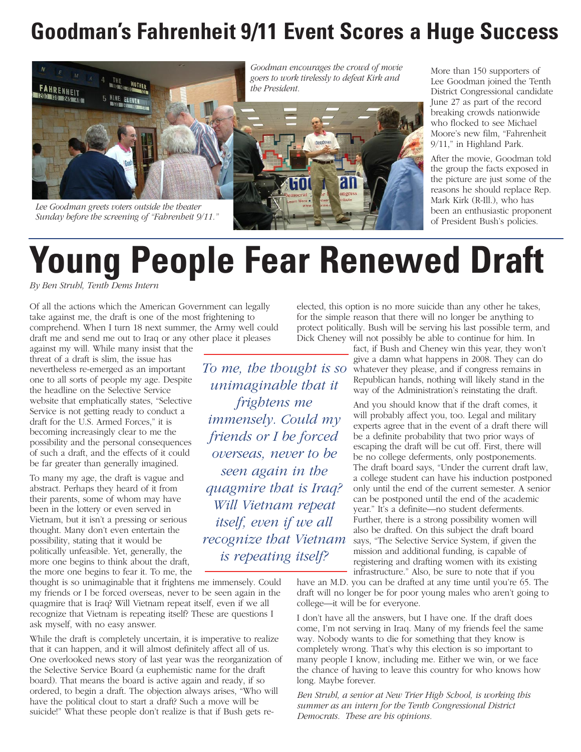### **Goodman's Fahrenheit 9/11 Event Scores a Huge Success**



*Lee Goodman greets voters outside the theater Sunday before the screening of "Fahrenheit 9/11."*

*Goodman encourages the crowd of movie goers to work tirelessly to defeat Kirk and the President.*



More than 150 supporters of Lee Goodman joined the Tenth District Congressional candidate June 27 as part of the record breaking crowds nationwide who flocked to see Michael Moore's new film, "Fahrenheit 9/11," in Highland Park.

After the movie, Goodman told the group the facts exposed in the picture are just some of the reasons he should replace Rep. Mark Kirk (R-Ill.), who has been an enthusiastic proponent of President Bush's policies.

# **Young People Fear Renewed Draft**

*By Ben Struhl, Tenth Dems Intern*

Of all the actions which the American Government can legally take against me, the draft is one of the most frightening to comprehend. When I turn 18 next summer, the Army well could draft me and send me out to Iraq or any other place it pleases

against my will. While many insist that the threat of a draft is slim, the issue has nevertheless re-emerged as an important one to all sorts of people my age. Despite the headline on the Selective Service website that emphatically states, "Selective Service is not getting ready to conduct a draft for the U.S. Armed Forces," it is becoming increasingly clear to me the possibility and the personal consequences of such a draft, and the effects of it could be far greater than generally imagined.

To many my age, the draft is vague and abstract. Perhaps they heard of it from their parents, some of whom may have been in the lottery or even served in Vietnam, but it isn't a pressing or serious thought. Many don't even entertain the possibility, stating that it would be politically unfeasible. Yet, generally, the more one begins to think about the draft, the more one begins to fear it. To me, the

thought is so unimaginable that it frightens me immensely. Could my friends or I be forced overseas, never to be seen again in the quagmire that is Iraq? Will Vietnam repeat itself, even if we all recognize that Vietnam is repeating itself? These are questions I ask myself, with no easy answer.

While the draft is completely uncertain, it is imperative to realize that it can happen, and it will almost definitely affect all of us. One overlooked news story of last year was the reorganization of the Selective Service Board (a euphemistic name for the draft board). That means the board is active again and ready, if so ordered, to begin a draft. The objection always arises, "Who will have the political clout to start a draft? Such a move will be suicide!" What these people don't realize is that if Bush gets reelected, this option is no more suicide than any other he takes, for the simple reason that there will no longer be anything to protect politically. Bush will be serving his last possible term, and Dick Cheney will not possibly be able to continue for him. In

> fact, if Bush and Cheney win this year, they won't give a damn what happens in 2008. They can do whatever they please, and if congress remains in Republican hands, nothing will likely stand in the way of the Administration's reinstating the draft.

And you should know that if the draft comes, it will probably affect you, too. Legal and military experts agree that in the event of a draft there will be a definite probability that two prior ways of escaping the draft will be cut off. First, there will be no college deferments, only postponements. The draft board says, "Under the current draft law, a college student can have his induction postponed only until the end of the current semester. A senior can be postponed until the end of the academic year." It's a definite—no student deferments. Further, there is a strong possibility women will also be drafted. On this subject the draft board says, "The Selective Service System, if given the mission and additional funding, is capable of registering and drafting women with its existing infrastructure." Also, be sure to note that if you

have an M.D. you can be drafted at any time until you're 65. The draft will no longer be for poor young males who aren't going to college—it will be for everyone.

I don't have all the answers, but I have one. If the draft does come, I'm not serving in Iraq. Many of my friends feel the same way. Nobody wants to die for something that they know is completely wrong. That's why this election is so important to many people I know, including me. Either we win, or we face the chance of having to leave this country for who knows how long. Maybe forever.

*Ben Struhl, a senior at New Trier High School, is working this summer as an intern for the Tenth Congressional District Democrats. These are his opinions.*

*unimaginable that it frightens me immensely. Could my friends or I be forced overseas, never to be seen again in the quagmire that is Iraq? Will Vietnam repeat itself, even if we all recognize that Vietnam is repeating itself?* 

*To me, the thought is so*